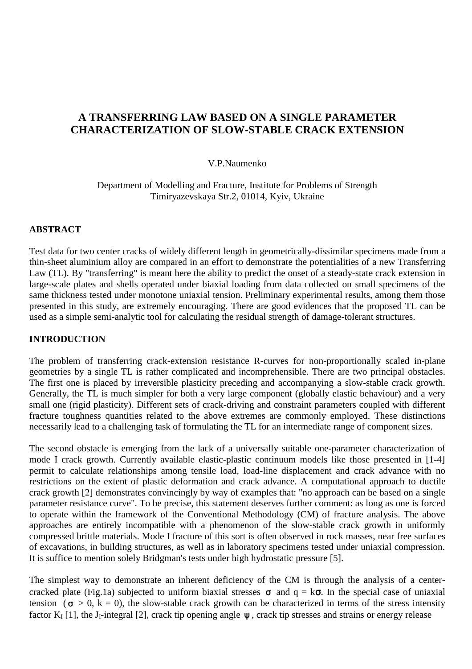# **A TRANSFERRING LAW BASED ON A SINGLE PARAMETER CHARACTERIZATION OF SLOW-STABLE CRACK EXTENSION**

### V.P.Naumenko

Department of Modelling and Fracture, Institute for Problems of Strength Timiryazevskaya Str.2, 01014, Kyiv, Ukraine

#### **ABSTRACT**

Test data for two center cracks of widely different length in geometrically-dissimilar specimens made from a thin-sheet aluminium alloy are compared in an effort to demonstrate the potentialities of a new Transferring Law (TL). By "transferring" is meant here the ability to predict the onset of a steady-state crack extension in large-scale plates and shells operated under biaxial loading from data collected on small specimens of the same thickness tested under monotone uniaxial tension. Preliminary experimental results, among them those presented in this study, are extremely encouraging. There are good evidences that the proposed TL can be used as a simple semi-analytic tool for calculating the residual strength of damage-tolerant structures.

### **INTRODUCTION**

The problem of transferring crack-extension resistance R-curves for non-proportionally scaled in-plane geometries by a single TL is rather complicated and incomprehensible. There are two principal obstacles. The first one is placed by irreversible plasticity preceding and accompanying a slow-stable crack growth. Generally, the TL is much simpler for both a very large component (globally elastic behaviour) and a very small one (rigid plasticity). Different sets of crack-driving and constraint parameters coupled with different fracture toughness quantities related to the above extremes are commonly employed. These distinctions necessarily lead to a challenging task of formulating the TL for an intermediate range of component sizes.

The second obstacle is emerging from the lack of a universally suitable one-parameter characterization of mode I crack growth. Currently available elastic-plastic continuum models like those presented in [1-4] permit to calculate relationships among tensile load, load-line displacement and crack advance with no restrictions on the extent of plastic deformation and crack advance. A computational approach to ductile crack growth [2] demonstrates convincingly by way of examples that: "no approach can be based on a single parameter resistance curve". To be precise, this statement deserves further comment: as long as one is forced to operate within the framework of the Conventional Methodology (CM) of fracture analysis. The above approaches are entirely incompatible with a phenomenon of the slow-stable crack growth in uniformly compressed brittle materials. Mode I fracture of this sort is often observed in rock masses, near free surfaces of excavations, in building structures, as well as in laboratory specimens tested under uniaxial compression. It is suffice to mention solely Bridgman's tests under high hydrostatic pressure [5].

The simplest way to demonstrate an inherent deficiency of the CM is through the analysis of a centercracked plate (Fig.1a) subjected to uniform biaxial stresses  $\sigma$  and  $q = k\sigma$ . In the special case of uniaxial tension ( $\sigma > 0$ , k = 0), the slow-stable crack growth can be characterized in terms of the stress intensity factor  $K_I$  [1], the J<sub>I</sub>-integral [2], crack tip opening angle  $\psi$ , crack tip stresses and strains or energy release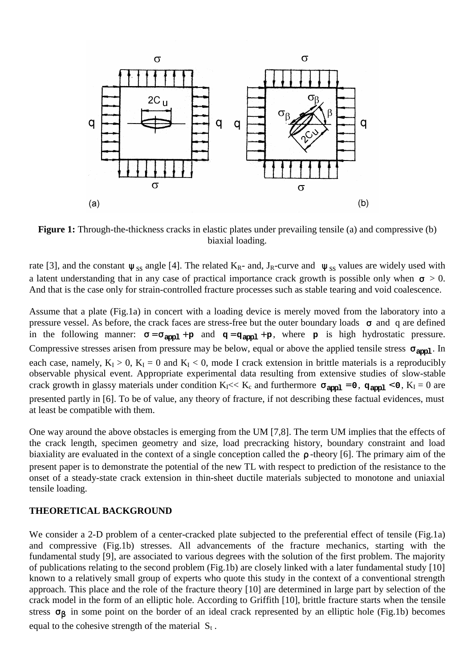

**Figure 1:** Through-the-thickness cracks in elastic plates under prevailing tensile (a) and compressive (b) biaxial loading.

rate [3], and the constant  $\psi_{SS}$  angle [4]. The related K<sub>R</sub>- and, J<sub>R</sub>-curve and  $\psi_{SS}$  values are widely used with a latent understanding that in any case of practical importance crack growth is possible only when  $\sigma > 0$ . And that is the case only for strain-controlled fracture processes such as stable tearing and void coalescence.

Assume that a plate (Fig.1a) in concert with a loading device is merely moved from the laboratory into a pressure vessel. As before, the crack faces are stress-free but the outer boundary loads  $\sigma$  and q are defined in the following manner:  $\sigma = \sigma_{app1} + p$  and  $q = q_{app1} + p$ , where **p** is high hydrostatic pressure. Compressive stresses arisen from pressure may be below, equal or above the applied tensile stress  $\sigma_{\text{arcol}}$ . In each case, namely,  $K_I > 0$ ,  $K_I = 0$  and  $K_I < 0$ , mode I crack extension in brittle materials is a reproducibly observable physical event. Appropriate experimental data resulting from extensive studies of slow-stable crack growth in glassy materials under condition  $K_I \ll K_c$  and furthermore  $\sigma_{\text{apol}} = 0$ ,  $\sigma_{\text{apol}} < 0$ ,  $K_I = 0$  are presented partly in [6]. To be of value, any theory of fracture, if not describing these factual evidences, must at least be compatible with them.

One way around the above obstacles is emerging from the UM [7,8]. The term UM implies that the effects of the crack length, specimen geometry and size, load precracking history, boundary constraint and load biaxiality are evaluated in the context of a single conception called the ρ -theory [6]. The primary aim of the present paper is to demonstrate the potential of the new TL with respect to prediction of the resistance to the onset of a steady-state crack extension in thin-sheet ductile materials subjected to monotone and uniaxial tensile loading.

#### **THEORETICAL BACKGROUND**

We consider a 2-D problem of a center-cracked plate subjected to the preferential effect of tensile (Fig.1a) and compressive (Fig.1b) stresses. All advancements of the fracture mechanics, starting with the fundamental study [9], are associated to various degrees with the solution of the first problem. The majority of publications relating to the second problem (Fig.1b) are closely linked with a later fundamental study [10] known to a relatively small group of experts who quote this study in the context of a conventional strength approach. This place and the role of the fracture theory [10] are determined in large part by selection of the crack model in the form of an elliptic hole. According to Griffith [10], brittle fracture starts when the tensile stress  $\sigma_{\beta}$  in some point on the border of an ideal crack represented by an elliptic hole (Fig.1b) becomes equal to the cohesive strength of the material  $S_t$ .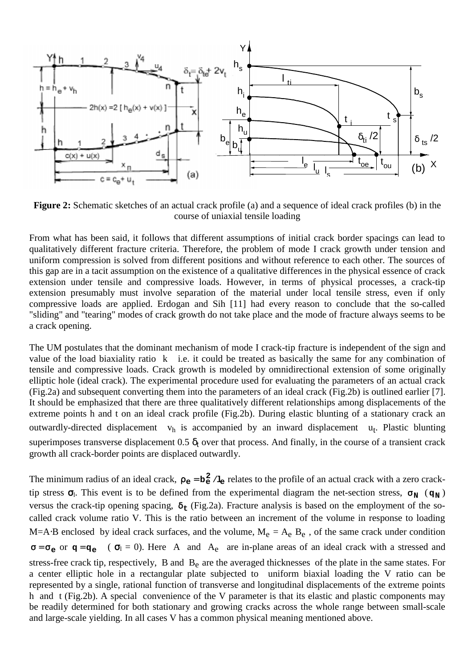

**Figure 2:** Schematic sketches of an actual crack profile (a) and a sequence of ideal crack profiles (b) in the course of uniaxial tensile loading

From what has been said, it follows that different assumptions of initial crack border spacings can lead to qualitatively different fracture criteria. Therefore, the problem of mode I crack growth under tension and uniform compression is solved from different positions and without reference to each other. The sources of this gap are in a tacit assumption on the existence of a qualitative differences in the physical essence of crack extension under tensile and compressive loads. However, in terms of physical processes, a crack-tip extension presumably must involve separation of the material under local tensile stress, even if only compressive loads are applied. Erdogan and Sih [11] had every reason to conclude that the so-called "sliding" and "tearing" modes of crack growth do not take place and the mode of fracture always seems to be a crack opening.

The UM postulates that the dominant mechanism of mode I crack-tip fracture is independent of the sign and value of the load biaxiality ratio k i.e. it could be treated as basically the same for any combination of tensile and compressive loads. Crack growth is modeled by omnidirectional extension of some originally elliptic hole (ideal crack). The experimental procedure used for evaluating the parameters of an actual crack (Fig.2a) and subsequent converting them into the parameters of an ideal crack (Fig.2b) is outlined earlier [7]. It should be emphasized that there are three qualitatively different relationships among displacements of the extreme points h and t on an ideal crack profile (Fig.2b). During elastic blunting of a stationary crack an outwardly-directed displacement vh is accompanied by an inward displacement u<sub>t</sub>. Plastic blunting superimposes transverse displacement 0.5  $\delta_t$  over that process. And finally, in the course of a transient crack growth all crack-border points are displaced outwardly.

The minimum radius of an ideal crack,  $\rho_e = b_e^2 / l_e$  relates to the profile of an actual crack with a zero cracktip stress  $\sigma_l$ . This event is to be defined from the experimental diagram the net-section stress,  $\sigma_N$  ( $\sigma_N$ ) versus the crack-tip opening spacing, δ**t** (Fig.2a). Fracture analysis is based on the employment of the socalled crack volume ratio V. This is the ratio between an increment of the volume in response to loading M=A⋅B enclosed by ideal crack surfaces, and the volume,  $M_e = A_e$  B<sub>e</sub>, of the same crack under condition  $\sigma = \sigma_e$  or  $\sigma = \sigma_e$  ( $\sigma_l = 0$ ). Here A and A<sub>e</sub> are in-plane areas of an ideal crack with a stressed and stress-free crack tip, respectively, B and B<sub>e</sub> are the averaged thicknesses of the plate in the same states. For a center elliptic hole in a rectangular plate subjected to uniform biaxial loading the V ratio can be represented by a single, rational function of transverse and longitudinal displacements of the extreme points h and t (Fig.2b). A special convenience of the V parameter is that its elastic and plastic components may be readily determined for both stationary and growing cracks across the whole range between small-scale and large-scale yielding. In all cases V has a common physical meaning mentioned above.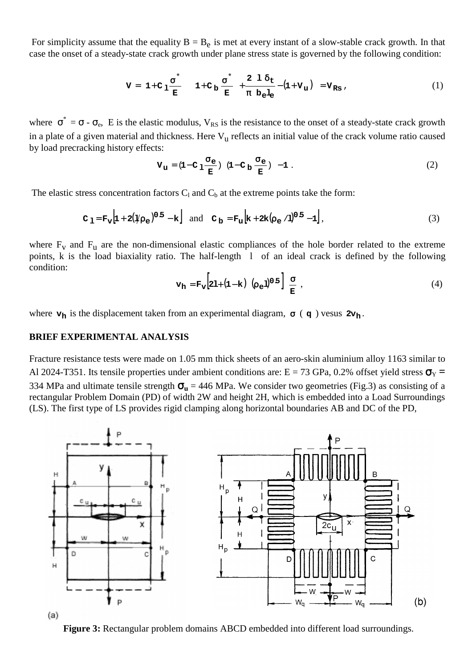For simplicity assume that the equality  $B = B_e$  is met at every instant of a slow-stable crack growth. In that case the onset of a steady-state crack growth under plane stress state is governed by the following condition:

$$
V = \left(1 + C_1 \frac{\sigma^*}{E}\right) \left(1 + C_b \frac{\sigma^*}{E}\right) + \frac{2}{\pi} \frac{1}{b_e l_e} - \left(1 + V_u\right) = V_{RS} \tag{1}
$$

where  $\sigma^* = \sigma - \sigma_e$ , E is the elastic modulus, V<sub>RS</sub> is the resistance to the onset of a steady-state crack growth in a plate of a given material and thickness. Here  $V<sub>u</sub>$  reflects an initial value of the crack volume ratio caused by load precracking history effects:

$$
\mathbf{V}_{\mathbf{u}} = (\mathbf{1} - \mathbf{C}_{1} \frac{\sigma_{\mathbf{e}}}{\mathbf{E}}) \quad (\mathbf{1} - \mathbf{C}_{\mathbf{b}} \frac{\sigma_{\mathbf{e}}}{\mathbf{E}}) - \mathbf{1} \tag{2}
$$

The elastic stress concentration factors  $C_1$  and  $C_b$  at the extreme points take the form:

$$
\mathbf{C}_1 = \mathbf{F}_v \left[ 1 + 2(\psi \rho_e)^{0.5} - \mathbf{k} \right] \text{ and } \mathbf{C}_b = \mathbf{F}_u \left[ \mathbf{k} + 2\mathbf{k} (\rho_e / 1)^{0.5} - 1 \right], \tag{3}
$$

where  $F_v$  and  $F_u$  are the non-dimensional elastic compliances of the hole border related to the extreme points, k is the load biaxiality ratio. The half-length l of an ideal crack is defined by the following condition:

$$
\mathbf{v}_{\mathbf{h}} = \mathbf{F}_{\mathbf{v}} \left[ 2\mathbf{1} + (\mathbf{1} - \mathbf{k}) \left( \rho_{e} \mathbf{1} \right)^{0.5} \right] \frac{\sigma}{E} , \qquad (4)
$$

where  $\mathbf{v}_h$  is the displacement taken from an experimental diagram,  $\sigma$  ( $\mathbf{q}$ ) vesus  $2\mathbf{v}_h$ .

# **BRIEF EXPERIMENTAL ANALYSIS**

Fracture resistance tests were made on 1.05 mm thick sheets of an aero-skin aluminium alloy 1163 similar to Al 2024-T351. Its tensile properties under ambient conditions are:  $E = 73$  GPa, 0.2% offset yield stress  $\sigma_y$  = 334 MPa and ultimate tensile strength  $\sigma_u$  = 446 MPa. We consider two geometries (Fig.3) as consisting of a rectangular Problem Domain (PD) of width 2W and height 2H, which is embedded into a Load Surroundings (LS). The first type of LS provides rigid clamping along horizontal boundaries AB and DC of the PD,



**Figure 3:** Rectangular problem domains ABCD embedded into different load surroundings.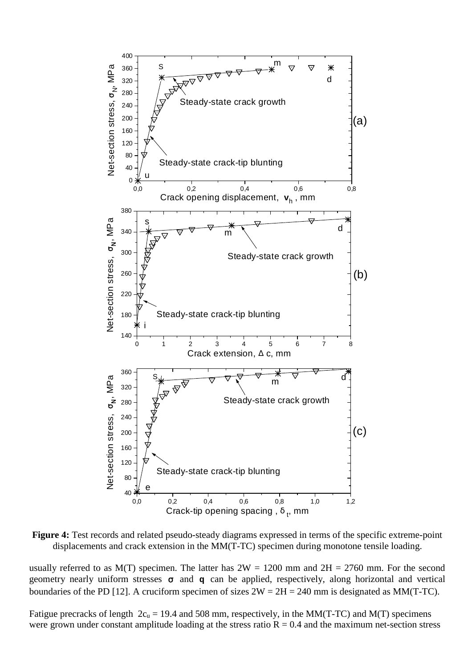

**Figure 4:** Test records and related pseudo-steady diagrams expressed in terms of the specific extreme-point displacements and crack extension in the MM(T-TC) specimen during monotone tensile loading.

usually referred to as  $M(T)$  specimen. The latter has  $2W = 1200$  mm and  $2H = 2760$  mm. For the second geometry nearly uniform stresses σ and **q** can be applied, respectively, along horizontal and vertical boundaries of the PD [12]. A cruciform specimen of sizes  $2W = 2H = 240$  mm is designated as MM(T-TC).

Fatigue precracks of length  $2c_u = 19.4$  and 508 mm, respectively, in the MM(T-TC) and M(T) specimens were grown under constant amplitude loading at the stress ratio  $R = 0.4$  and the maximum net-section stress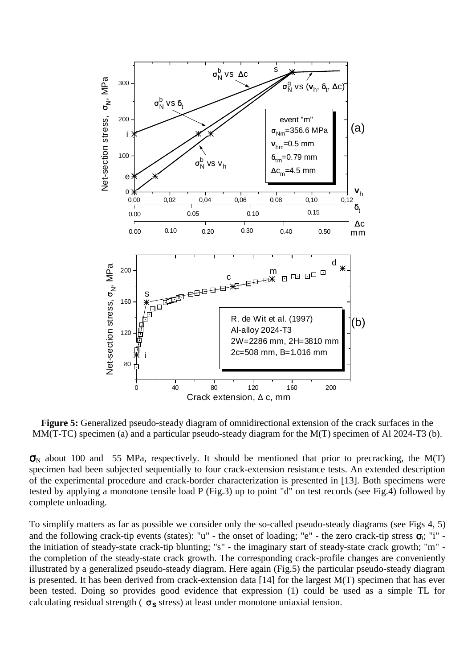

**Figure 5:** Generalized pseudo-steady diagram of omnidirectional extension of the crack surfaces in the MM(T-TC) specimen (a) and a particular pseudo-steady diagram for the M(T) specimen of Al 2024-T3 (b).

 $\sigma_N$  about 100 and 55 MPa, respectively. It should be mentioned that prior to precracking, the M(T) specimen had been subjected sequentially to four crack-extension resistance tests. An extended description of the experimental procedure and crack-border characterization is presented in [13]. Both specimens were tested by applying a monotone tensile load P (Fig.3) up to point "d" on test records (see Fig.4) followed by complete unloading.

To simplify matters as far as possible we consider only the so-called pseudo-steady diagrams (see Figs 4, 5) and the following crack-tip events (states): "u" - the onset of loading; "e" - the zero crack-tip stress  $\sigma_i$ ; "i" the initiation of steady-state crack-tip blunting; "s" - the imaginary start of steady-state crack growth; "m" the completion of the steady-state crack growth. The corresponding crack-profile changes are conveniently illustrated by a generalized pseudo-steady diagram. Here again (Fig.5) the particular pseudo-steady diagram is presented. It has been derived from crack-extension data [14] for the largest M(T) specimen that has ever been tested. Doing so provides good evidence that expression (1) could be used as a simple TL for calculating residual strength ( $\sigma_s$  stress) at least under monotone uniaxial tension.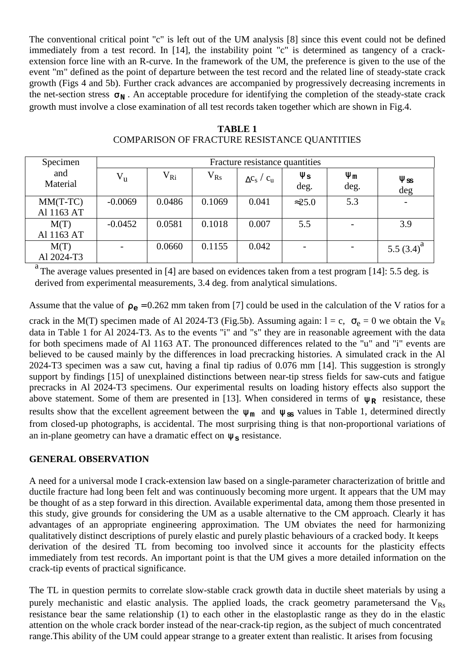The conventional critical point "c" is left out of the UM analysis [8] since this event could not be defined immediately from a test record. In [14], the instability point "c" is determined as tangency of a crackextension force line with an R-curve. In the framework of the UM, the preference is given to the use of the event "m" defined as the point of departure between the test record and the related line of steady-state crack growth (Figs 4 and 5b). Further crack advances are accompanied by progressively decreasing increments in the net-section stress  $\sigma_N$ . An acceptable procedure for identifying the completion of the steady-state crack growth must involve a close examination of all test records taken together which are shown in Fig.4.

| Specimen                 | Fracture resistance quantities |              |              |                    |                             |                  |                             |
|--------------------------|--------------------------------|--------------|--------------|--------------------|-----------------------------|------------------|-----------------------------|
| and<br>Material          | $V_{u}$                        | $\rm V_{Ri}$ | $\rm V_{Rs}$ | $\Delta C_S / C_u$ | $\Psi_{\mathbf{S}}$<br>deg. | $\Psi_m$<br>deg. | $\Psi_{\texttt{SS}}$<br>deg |
| $MM(T-TC)$<br>Al 1163 AT | $-0.0069$                      | 0.0486       | 0.1069       | 0.041              | $\approx$ 25.0              | 5.3              |                             |
| M(T)<br>Al 1163 AT       | $-0.0452$                      | 0.0581       | 0.1018       | 0.007              | 5.5                         |                  | 3.9                         |
| M(T)<br>Al 2024-T3       |                                | 0.0660       | 0.1155       | 0.042              |                             |                  | 5.5 $(3.4)^a$               |

**TABLE 1** COMPARISON OF FRACTURE RESISTANCE QUANTITIES

a The average values presented in [4] are based on evidences taken from a test program [14]: 5.5 deg. is derived from experimental measurements, 3.4 deg. from analytical simulations.

Assume that the value of  $\rho_e = 0.262$  mm taken from [7] could be used in the calculation of the V ratios for a crack in the M(T) specimen made of Al 2024-T3 (Fig.5b). Assuming again:  $l = c$ ,  $\sigma_e = 0$  we obtain the V<sub>R</sub> data in Table 1 for Al 2024-T3. As to the events "i" and "s" they are in reasonable agreement with the data for both specimens made of Al 1163 AT. The pronounced differences related to the "u" and "i" events are believed to be caused mainly by the differences in load precracking histories. A simulated crack in the Al 2024-T3 specimen was a saw cut, having a final tip radius of 0.076 mm [14]. This suggestion is strongly support by findings [15] of unexplained distinctions between near-tip stress fields for saw-cuts and fatigue precracks in Al 2024-T3 specimens. Our experimental results on loading history effects also support the above statement. Some of them are presented in [13]. When considered in terms of  $\psi_R$  resistance, these results show that the excellent agreement between the  $\psi_m$  and  $\psi_{\rm ss}$  values in Table 1, determined directly from closed-up photographs, is accidental. The most surprising thing is that non-proportional variations of an in-plane geometry can have a dramatic effect on  $\psi_s$  resistance.

# **GENERAL OBSERVATION**

A need for a universal mode I crack-extension law based on a single-parameter characterization of brittle and ductile fracture had long been felt and was continuously becoming more urgent. It appears that the UM may be thought of as a step forward in this direction. Available experimental data, among them those presented in this study, give grounds for considering the UM as a usable alternative to the CM approach. Clearly it has advantages of an appropriate engineering approximation. The UM obviates the need for harmonizing qualitatively distinct descriptions of purely elastic and purely plastic behaviours of a cracked body. It keeps derivation of the desired TL from becoming too involved since it accounts for the plasticity effects immediately from test records. An important point is that the UM gives a more detailed information on the crack-tip events of practical significance.

The TL in question permits to correlate slow-stable crack growth data in ductile sheet materials by using a purely mechanistic and elastic analysis. The applied loads, the crack geometry parameters and the  $V_{\text{Rs}}$ resistance bear the same relationship (1) to each other in the elastoplastic range as they do in the elastic attention on the whole crack border instead of the near-crack-tip region, as the subject of much concentrated range.This ability of the UM could appear strange to a greater extent than realistic. It arises from focusing